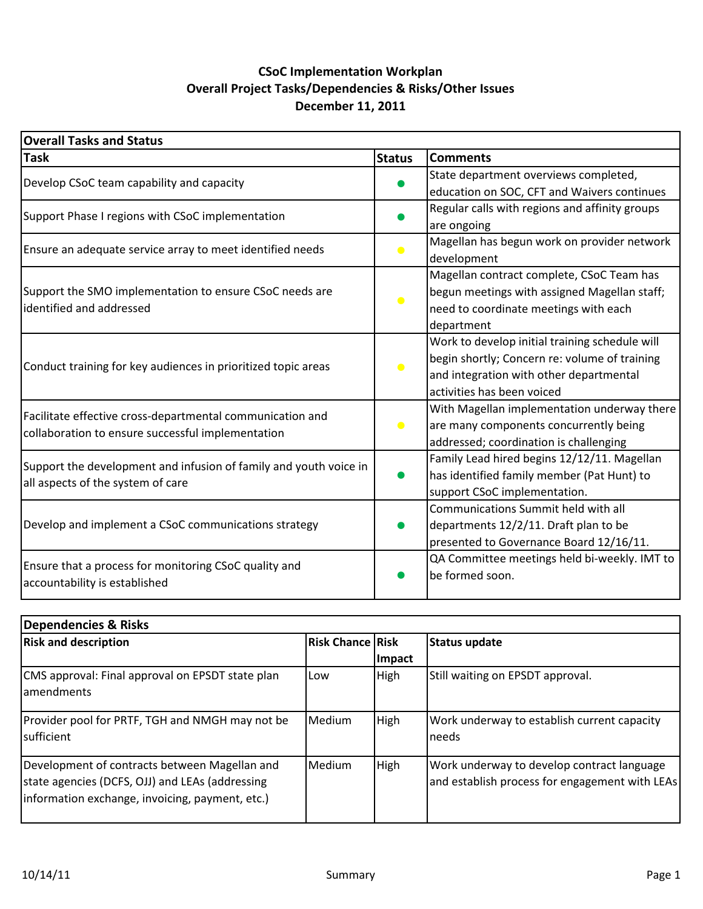## **CSoC Implementation Workplan Overall)Project)Tasks/Dependencies)&)Risks/Other)Issues** December 11, 2011

| <b>Overall Tasks and Status</b>                                                        |               |                                                |  |  |  |
|----------------------------------------------------------------------------------------|---------------|------------------------------------------------|--|--|--|
| <b>Task</b>                                                                            | <b>Status</b> | <b>Comments</b>                                |  |  |  |
|                                                                                        |               | State department overviews completed,          |  |  |  |
| Develop CSoC team capability and capacity                                              |               | education on SOC, CFT and Waivers continues    |  |  |  |
| Support Phase I regions with CSoC implementation                                       |               | Regular calls with regions and affinity groups |  |  |  |
|                                                                                        |               | are ongoing                                    |  |  |  |
| Ensure an adequate service array to meet identified needs                              |               | Magellan has begun work on provider network    |  |  |  |
|                                                                                        |               | development                                    |  |  |  |
|                                                                                        |               | Magellan contract complete, CSoC Team has      |  |  |  |
| Support the SMO implementation to ensure CSoC needs are                                | $\bullet$     | begun meetings with assigned Magellan staff;   |  |  |  |
| identified and addressed                                                               |               | need to coordinate meetings with each          |  |  |  |
|                                                                                        |               | department                                     |  |  |  |
|                                                                                        |               | Work to develop initial training schedule will |  |  |  |
| Conduct training for key audiences in prioritized topic areas                          |               | begin shortly; Concern re: volume of training  |  |  |  |
|                                                                                        |               | and integration with other departmental        |  |  |  |
|                                                                                        |               | activities has been voiced                     |  |  |  |
| Facilitate effective cross-departmental communication and                              |               | With Magellan implementation underway there    |  |  |  |
| collaboration to ensure successful implementation                                      | $\bullet$     | are many components concurrently being         |  |  |  |
|                                                                                        |               | addressed; coordination is challenging         |  |  |  |
| Support the development and infusion of family and youth voice in                      |               | Family Lead hired begins 12/12/11. Magellan    |  |  |  |
| all aspects of the system of care                                                      |               | has identified family member (Pat Hunt) to     |  |  |  |
|                                                                                        |               | support CSoC implementation.                   |  |  |  |
|                                                                                        |               | Communications Summit held with all            |  |  |  |
| Develop and implement a CSoC communications strategy                                   |               | departments 12/2/11. Draft plan to be          |  |  |  |
|                                                                                        |               | presented to Governance Board 12/16/11.        |  |  |  |
|                                                                                        |               | QA Committee meetings held bi-weekly. IMT to   |  |  |  |
| Ensure that a process for monitoring CSoC quality and<br>accountability is established |               | be formed soon.                                |  |  |  |

| Dependencies & Risks                                                                                                                                |                           |             |                                                                                              |  |  |  |  |  |  |
|-----------------------------------------------------------------------------------------------------------------------------------------------------|---------------------------|-------------|----------------------------------------------------------------------------------------------|--|--|--|--|--|--|
| <b>Risk and description</b>                                                                                                                         | <b>Risk Chance   Risk</b> |             | <b>Status update</b>                                                                         |  |  |  |  |  |  |
|                                                                                                                                                     |                           | Impact      |                                                                                              |  |  |  |  |  |  |
| CMS approval: Final approval on EPSDT state plan<br>lamendments                                                                                     | Low                       | <b>High</b> | Still waiting on EPSDT approval.                                                             |  |  |  |  |  |  |
| Provider pool for PRTF, TGH and NMGH may not be<br>sufficient                                                                                       | Medium                    | High        | Work underway to establish current capacity<br>needs                                         |  |  |  |  |  |  |
| Development of contracts between Magellan and<br>state agencies (DCFS, OJJ) and LEAs (addressing<br>information exchange, invoicing, payment, etc.) | Medium                    | High        | Work underway to develop contract language<br>and establish process for engagement with LEAs |  |  |  |  |  |  |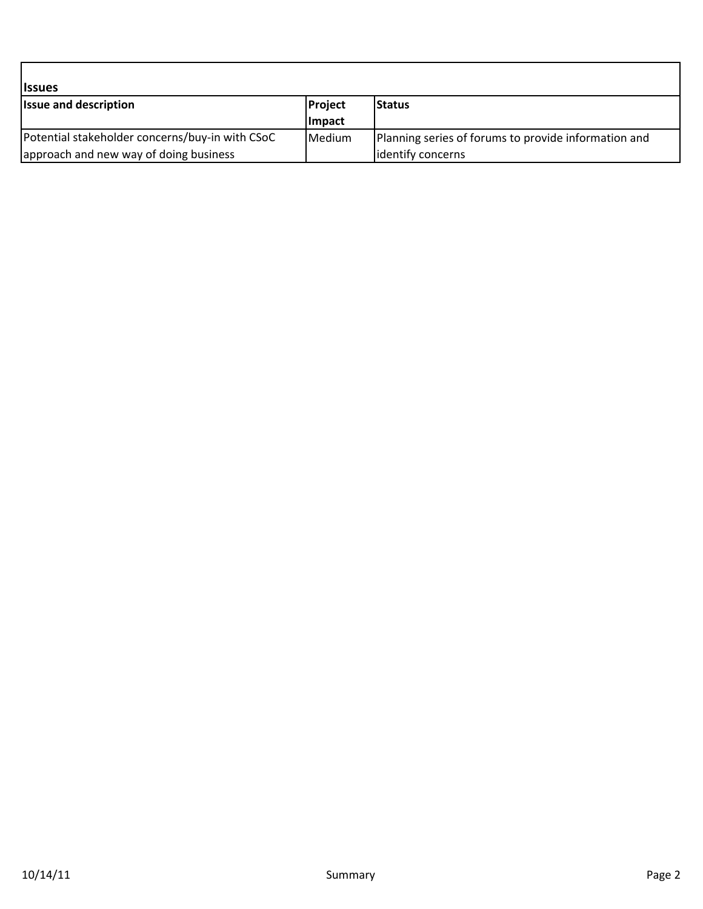| <i><b>Issues</b></i>                            |               |                                                      |
|-------------------------------------------------|---------------|------------------------------------------------------|
| <b>Issue and description</b>                    | Project       | lStatus                                              |
|                                                 | <b>Impact</b> |                                                      |
| Potential stakeholder concerns/buy-in with CSoC | Medium        | Planning series of forums to provide information and |
| approach and new way of doing business          |               | lidentify concerns                                   |

- I

٦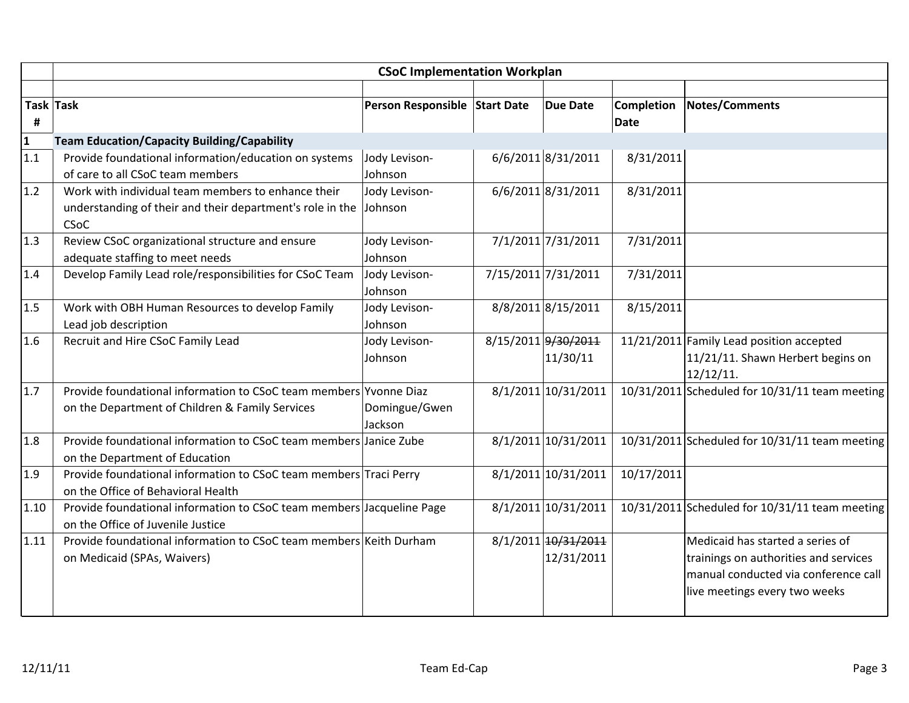|                 | <b>CSoC Implementation Workplan</b>                                                                                     |                               |  |                                   |                                  |                                                                                                                                                    |  |  |
|-----------------|-------------------------------------------------------------------------------------------------------------------------|-------------------------------|--|-----------------------------------|----------------------------------|----------------------------------------------------------------------------------------------------------------------------------------------------|--|--|
| #               | Task Task                                                                                                               | Person Responsible Start Date |  | <b>Due Date</b>                   | <b>Completion</b><br><b>Date</b> | <b>Notes/Comments</b>                                                                                                                              |  |  |
| $\frac{1}{1.1}$ | <b>Team Education/Capacity Building/Capability</b>                                                                      |                               |  |                                   |                                  |                                                                                                                                                    |  |  |
|                 | Provide foundational information/education on systems<br>of care to all CSoC team members                               | Jody Levison-<br>Johnson      |  | 6/6/2011 8/31/2011                | 8/31/2011                        |                                                                                                                                                    |  |  |
| 1.2             | Work with individual team members to enhance their<br>understanding of their and their department's role in the<br>CSoC | Jody Levison-<br>Johnson      |  | 6/6/2011 8/31/2011                | 8/31/2011                        |                                                                                                                                                    |  |  |
| 1.3             | Review CSoC organizational structure and ensure<br>adequate staffing to meet needs                                      | Jody Levison-<br>Johnson      |  | 7/1/2011 7/31/2011                | 7/31/2011                        |                                                                                                                                                    |  |  |
| 1.4             | Develop Family Lead role/responsibilities for CSoC Team                                                                 | Jody Levison-<br>Johnson      |  | 7/15/2011 7/31/2011               | 7/31/2011                        |                                                                                                                                                    |  |  |
| 1.5             | Work with OBH Human Resources to develop Family<br>Lead job description                                                 | Jody Levison-<br>Johnson      |  | 8/8/2011 8/15/2011                | 8/15/2011                        |                                                                                                                                                    |  |  |
| 1.6             | Recruit and Hire CSoC Family Lead                                                                                       | Jody Levison-<br>Johnson      |  | 8/15/2011 9/30/2011<br>11/30/11   |                                  | 11/21/2011 Family Lead position accepted<br>11/21/11. Shawn Herbert begins on<br>12/12/11.                                                         |  |  |
| 1.7             | Provide foundational information to CSoC team members Yvonne Diaz<br>on the Department of Children & Family Services    | Domingue/Gwen<br>Jackson      |  | 8/1/2011 10/31/2011               |                                  | 10/31/2011 Scheduled for 10/31/11 team meeting                                                                                                     |  |  |
| 1.8             | Provide foundational information to CSoC team members Janice Zube<br>on the Department of Education                     |                               |  | 8/1/2011 10/31/2011               |                                  | 10/31/2011 Scheduled for 10/31/11 team meeting                                                                                                     |  |  |
| 1.9             | Provide foundational information to CSoC team members Traci Perry<br>on the Office of Behavioral Health                 |                               |  | 8/1/2011 10/31/2011               | 10/17/2011                       |                                                                                                                                                    |  |  |
| 1.10            | Provide foundational information to CSoC team members Jacqueline Page<br>on the Office of Juvenile Justice              |                               |  | 8/1/2011 10/31/2011               |                                  | 10/31/2011 Scheduled for 10/31/11 team meeting                                                                                                     |  |  |
| 1.11            | Provide foundational information to CSoC team members Keith Durham<br>on Medicaid (SPAs, Waivers)                       |                               |  | 8/1/2011 10/31/2011<br>12/31/2011 |                                  | Medicaid has started a series of<br>trainings on authorities and services<br>manual conducted via conference call<br>live meetings every two weeks |  |  |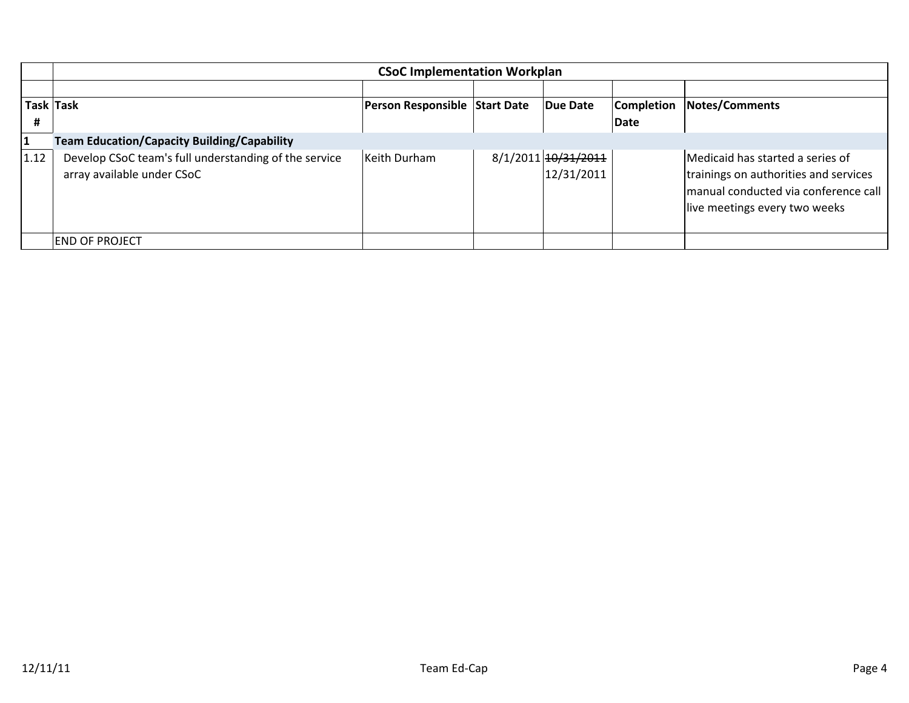|                | <b>CSoC Implementation Workplan</b>                                                 |                               |  |                                   |                           |                                                                                                                                                    |  |  |  |
|----------------|-------------------------------------------------------------------------------------|-------------------------------|--|-----------------------------------|---------------------------|----------------------------------------------------------------------------------------------------------------------------------------------------|--|--|--|
| Task Task<br>Ħ |                                                                                     | Person Responsible Start Date |  | Due Date                          | <b>Completion</b><br>Date | <b>Notes/Comments</b>                                                                                                                              |  |  |  |
| 1              | <b>Team Education/Capacity Building/Capability</b>                                  |                               |  |                                   |                           |                                                                                                                                                    |  |  |  |
| 1.12           | Develop CSoC team's full understanding of the service<br>array available under CSoC | Keith Durham                  |  | 8/1/2011 10/31/2011<br>12/31/2011 |                           | Medicaid has started a series of<br>trainings on authorities and services<br>manual conducted via conference call<br>live meetings every two weeks |  |  |  |
|                | IEND OF PROJECT                                                                     |                               |  |                                   |                           |                                                                                                                                                    |  |  |  |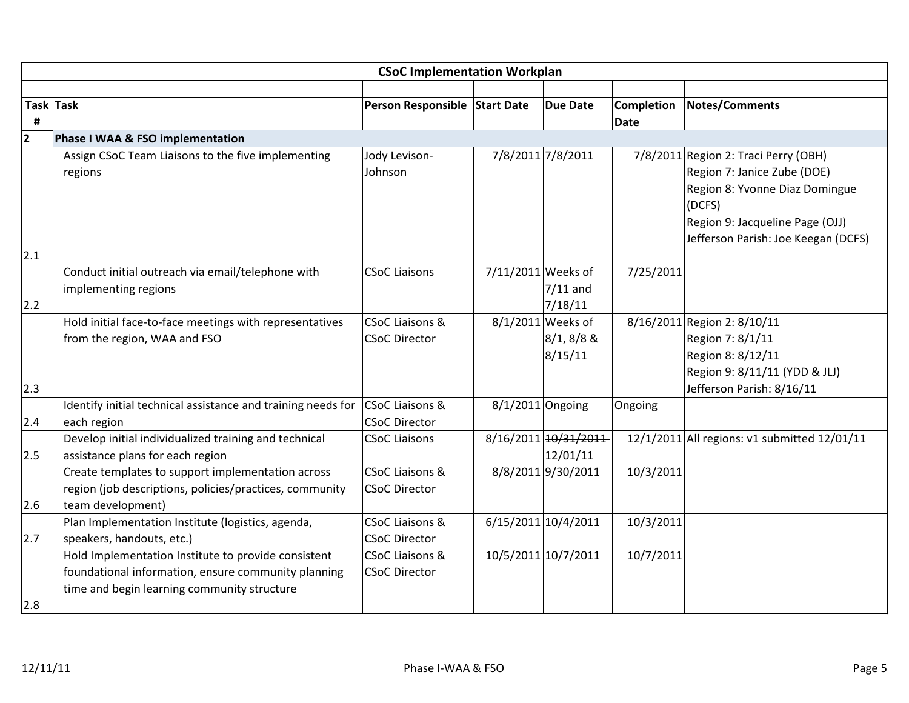|                | <b>CSoC Implementation Workplan</b>                                                                |                               |                      |                                  |                   |                                                                                                                                                                                           |  |
|----------------|----------------------------------------------------------------------------------------------------|-------------------------------|----------------------|----------------------------------|-------------------|-------------------------------------------------------------------------------------------------------------------------------------------------------------------------------------------|--|
|                |                                                                                                    |                               |                      |                                  |                   |                                                                                                                                                                                           |  |
|                | Task Task                                                                                          | Person Responsible Start Date |                      | <b>Due Date</b>                  | <b>Completion</b> | Notes/Comments                                                                                                                                                                            |  |
| #              |                                                                                                    |                               |                      |                                  | Date              |                                                                                                                                                                                           |  |
| $\overline{2}$ | Phase I WAA & FSO implementation                                                                   |                               |                      |                                  |                   |                                                                                                                                                                                           |  |
|                | Assign CSoC Team Liaisons to the five implementing<br>regions                                      | Jody Levison-<br>Johnson      |                      | 7/8/2011 7/8/2011                |                   | 7/8/2011 Region 2: Traci Perry (OBH)<br>Region 7: Janice Zube (DOE)<br>Region 8: Yvonne Diaz Domingue<br>(DCFS)<br>Region 9: Jacqueline Page (OJJ)<br>Jefferson Parish: Joe Keegan (DCFS) |  |
| 2.1            |                                                                                                    |                               |                      |                                  |                   |                                                                                                                                                                                           |  |
| 2.2            | Conduct initial outreach via email/telephone with<br>implementing regions                          | <b>CSoC Liaisons</b>          | $7/11/2011$ Weeks of | $7/11$ and<br>7/18/11            | 7/25/2011         |                                                                                                                                                                                           |  |
|                | Hold initial face-to-face meetings with representatives                                            | <b>CSoC Liaisons &amp;</b>    |                      | 8/1/2011 Weeks of                |                   | 8/16/2011 Region 2: 8/10/11                                                                                                                                                               |  |
| 2.3            | from the region, WAA and FSO                                                                       | <b>CSoC Director</b>          |                      | $8/1, 8/8$ &<br>8/15/11          |                   | Region 7: 8/1/11<br>Region 8: 8/12/11<br>Region 9: 8/11/11 (YDD & JLJ)<br>Jefferson Parish: 8/16/11                                                                                       |  |
|                | Identify initial technical assistance and training needs for                                       | CSoC Liaisons &               | $8/1/2011$ Ongoing   |                                  | Ongoing           |                                                                                                                                                                                           |  |
| 2.4            | each region                                                                                        | <b>CSoC Director</b>          |                      |                                  |                   |                                                                                                                                                                                           |  |
| 2.5            | Develop initial individualized training and technical<br>assistance plans for each region          | <b>CSoC Liaisons</b>          |                      | 8/16/2011 10/31/2011<br>12/01/11 |                   | 12/1/2011 All regions: v1 submitted 12/01/11                                                                                                                                              |  |
|                | Create templates to support implementation across                                                  | <b>CSoC Liaisons &amp;</b>    |                      | 8/8/2011 9/30/2011               | 10/3/2011         |                                                                                                                                                                                           |  |
| 2.6            | region (job descriptions, policies/practices, community<br>team development)                       | <b>CSoC Director</b>          |                      |                                  |                   |                                                                                                                                                                                           |  |
|                | Plan Implementation Institute (logistics, agenda,                                                  | <b>CSoC Liaisons &amp;</b>    |                      | 6/15/2011 10/4/2011              | 10/3/2011         |                                                                                                                                                                                           |  |
| 2.7            | speakers, handouts, etc.)                                                                          | <b>CSoC Director</b>          |                      |                                  |                   |                                                                                                                                                                                           |  |
|                | Hold Implementation Institute to provide consistent                                                | <b>CSoC Liaisons &amp;</b>    |                      | 10/5/2011 10/7/2011              | 10/7/2011         |                                                                                                                                                                                           |  |
|                | foundational information, ensure community planning<br>time and begin learning community structure | <b>CSoC Director</b>          |                      |                                  |                   |                                                                                                                                                                                           |  |
| 2.8            |                                                                                                    |                               |                      |                                  |                   |                                                                                                                                                                                           |  |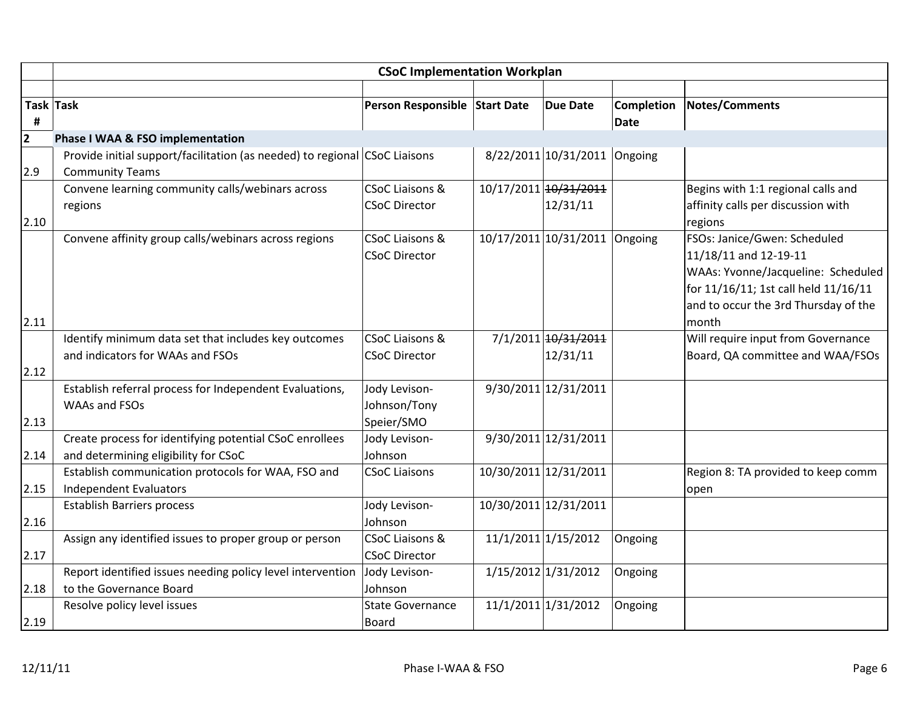|              | <b>CSoC Implementation Workplan</b>                                                                  |                               |  |                               |                   |                                      |  |  |  |
|--------------|------------------------------------------------------------------------------------------------------|-------------------------------|--|-------------------------------|-------------------|--------------------------------------|--|--|--|
|              |                                                                                                      |                               |  |                               |                   |                                      |  |  |  |
| Task Task    |                                                                                                      | Person Responsible Start Date |  | <b>Due Date</b>               | <b>Completion</b> | Notes/Comments                       |  |  |  |
| #            |                                                                                                      |                               |  |                               | Date              |                                      |  |  |  |
| $\mathbf{2}$ | Phase I WAA & FSO implementation                                                                     |                               |  |                               |                   |                                      |  |  |  |
| 2.9          | Provide initial support/facilitation (as needed) to regional CSoC Liaisons<br><b>Community Teams</b> |                               |  | 8/22/2011 10/31/2011 Ongoing  |                   |                                      |  |  |  |
|              | Convene learning community calls/webinars across                                                     | <b>CSoC Liaisons &amp;</b>    |  | 10/17/2011 10/31/2011         |                   | Begins with 1:1 regional calls and   |  |  |  |
|              | regions                                                                                              | <b>CSoC Director</b>          |  | 12/31/11                      |                   | affinity calls per discussion with   |  |  |  |
| 2.10         |                                                                                                      |                               |  |                               |                   | regions                              |  |  |  |
|              | Convene affinity group calls/webinars across regions                                                 | <b>CSoC Liaisons &amp;</b>    |  | 10/17/2011 10/31/2011 Ongoing |                   | FSOs: Janice/Gwen: Scheduled         |  |  |  |
|              |                                                                                                      | <b>CSoC Director</b>          |  |                               |                   | 11/18/11 and 12-19-11                |  |  |  |
|              |                                                                                                      |                               |  |                               |                   | WAAs: Yvonne/Jacqueline: Scheduled   |  |  |  |
|              |                                                                                                      |                               |  |                               |                   | for 11/16/11; 1st call held 11/16/11 |  |  |  |
|              |                                                                                                      |                               |  |                               |                   | and to occur the 3rd Thursday of the |  |  |  |
| 2.11         |                                                                                                      |                               |  |                               |                   | month                                |  |  |  |
|              | Identify minimum data set that includes key outcomes                                                 | CSoC Liaisons &               |  | 7/1/2011 10/31/2011           |                   | Will require input from Governance   |  |  |  |
|              | and indicators for WAAs and FSOs                                                                     | <b>CSoC Director</b>          |  | 12/31/11                      |                   | Board, QA committee and WAA/FSOs     |  |  |  |
| 2.12         |                                                                                                      |                               |  |                               |                   |                                      |  |  |  |
|              | Establish referral process for Independent Evaluations,                                              | Jody Levison-                 |  | 9/30/2011 12/31/2011          |                   |                                      |  |  |  |
|              | WAAs and FSOs                                                                                        | Johnson/Tony                  |  |                               |                   |                                      |  |  |  |
| 2.13         |                                                                                                      | Speier/SMO                    |  |                               |                   |                                      |  |  |  |
|              | Create process for identifying potential CSoC enrollees                                              | Jody Levison-                 |  | 9/30/2011 12/31/2011          |                   |                                      |  |  |  |
| 2.14         | and determining eligibility for CSoC                                                                 | Johnson                       |  |                               |                   |                                      |  |  |  |
|              | Establish communication protocols for WAA, FSO and                                                   | <b>CSoC Liaisons</b>          |  | 10/30/2011 12/31/2011         |                   | Region 8: TA provided to keep comm   |  |  |  |
| 2.15         | <b>Independent Evaluators</b>                                                                        |                               |  |                               |                   | open                                 |  |  |  |
|              | <b>Establish Barriers process</b>                                                                    | Jody Levison-                 |  | 10/30/2011 12/31/2011         |                   |                                      |  |  |  |
| 2.16         |                                                                                                      | Johnson                       |  |                               |                   |                                      |  |  |  |
|              | Assign any identified issues to proper group or person                                               | <b>CSoC Liaisons &amp;</b>    |  | 11/1/2011 1/15/2012           | Ongoing           |                                      |  |  |  |
| 2.17         |                                                                                                      | <b>CSoC Director</b>          |  |                               |                   |                                      |  |  |  |
|              | Report identified issues needing policy level intervention                                           | Jody Levison-                 |  | 1/15/2012 1/31/2012           | Ongoing           |                                      |  |  |  |
| 2.18         | to the Governance Board                                                                              | Johnson                       |  |                               |                   |                                      |  |  |  |
|              | Resolve policy level issues                                                                          | <b>State Governance</b>       |  | 11/1/2011 1/31/2012           | Ongoing           |                                      |  |  |  |
| 2.19         |                                                                                                      | <b>Board</b>                  |  |                               |                   |                                      |  |  |  |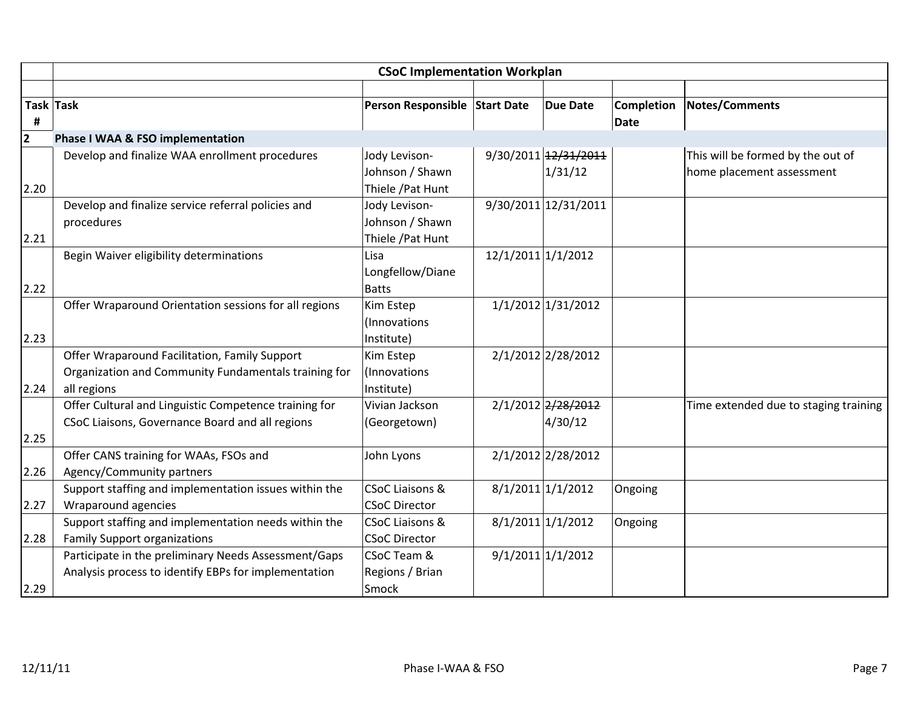|                         | <b>CSoC Implementation Workplan</b>                   |                               |                    |                      |                   |                                       |  |  |
|-------------------------|-------------------------------------------------------|-------------------------------|--------------------|----------------------|-------------------|---------------------------------------|--|--|
|                         |                                                       |                               |                    |                      |                   |                                       |  |  |
|                         | Task Task                                             | Person Responsible Start Date |                    | <b>Due Date</b>      | <b>Completion</b> | <b>Notes/Comments</b>                 |  |  |
| #                       |                                                       |                               |                    |                      | <b>Date</b>       |                                       |  |  |
| $\overline{\mathbf{2}}$ | Phase I WAA & FSO implementation                      |                               |                    |                      |                   |                                       |  |  |
|                         | Develop and finalize WAA enrollment procedures        | Jody Levison-                 |                    | 9/30/2011 12/31/2011 |                   | This will be formed by the out of     |  |  |
|                         |                                                       | Johnson / Shawn               |                    | 1/31/12              |                   | home placement assessment             |  |  |
| 2.20                    |                                                       | Thiele / Pat Hunt             |                    |                      |                   |                                       |  |  |
|                         | Develop and finalize service referral policies and    | Jody Levison-                 |                    | 9/30/2011 12/31/2011 |                   |                                       |  |  |
|                         | procedures                                            | Johnson / Shawn               |                    |                      |                   |                                       |  |  |
| 2.21                    |                                                       | Thiele / Pat Hunt             |                    |                      |                   |                                       |  |  |
|                         | Begin Waiver eligibility determinations               | Lisa                          | 12/1/2011 1/1/2012 |                      |                   |                                       |  |  |
|                         |                                                       | Longfellow/Diane              |                    |                      |                   |                                       |  |  |
| 2.22                    |                                                       | <b>Batts</b>                  |                    |                      |                   |                                       |  |  |
|                         | Offer Wraparound Orientation sessions for all regions | Kim Estep                     |                    | 1/1/2012 1/31/2012   |                   |                                       |  |  |
|                         |                                                       | (Innovations                  |                    |                      |                   |                                       |  |  |
| 2.23                    |                                                       | Institute)                    |                    |                      |                   |                                       |  |  |
|                         | Offer Wraparound Facilitation, Family Support         | Kim Estep                     |                    | 2/1/2012 2/28/2012   |                   |                                       |  |  |
|                         | Organization and Community Fundamentals training for  | (Innovations                  |                    |                      |                   |                                       |  |  |
| 2.24                    | all regions                                           | Institute)                    |                    |                      |                   |                                       |  |  |
|                         | Offer Cultural and Linguistic Competence training for | Vivian Jackson                |                    | 2/1/2012 2/28/2012   |                   | Time extended due to staging training |  |  |
|                         | CSoC Liaisons, Governance Board and all regions       | (Georgetown)                  |                    | 4/30/12              |                   |                                       |  |  |
| 2.25                    |                                                       |                               |                    |                      |                   |                                       |  |  |
|                         | Offer CANS training for WAAs, FSOs and                | John Lyons                    |                    | 2/1/2012 2/28/2012   |                   |                                       |  |  |
| 2.26                    | Agency/Community partners                             |                               |                    |                      |                   |                                       |  |  |
|                         | Support staffing and implementation issues within the | <b>CSoC Liaisons &amp;</b>    |                    | $8/1/2011$ 1/1/2012  | Ongoing           |                                       |  |  |
| 2.27                    | Wraparound agencies                                   | <b>CSoC Director</b>          |                    |                      |                   |                                       |  |  |
|                         | Support staffing and implementation needs within the  | <b>CSoC Liaisons &amp;</b>    |                    | 8/1/2011 1/1/2012    | Ongoing           |                                       |  |  |
| 2.28                    | <b>Family Support organizations</b>                   | <b>CSoC Director</b>          |                    |                      |                   |                                       |  |  |
|                         | Participate in the preliminary Needs Assessment/Gaps  | CSoC Team &                   |                    | 9/1/2011 1/1/2012    |                   |                                       |  |  |
|                         | Analysis process to identify EBPs for implementation  | Regions / Brian               |                    |                      |                   |                                       |  |  |
| 2.29                    |                                                       | Smock                         |                    |                      |                   |                                       |  |  |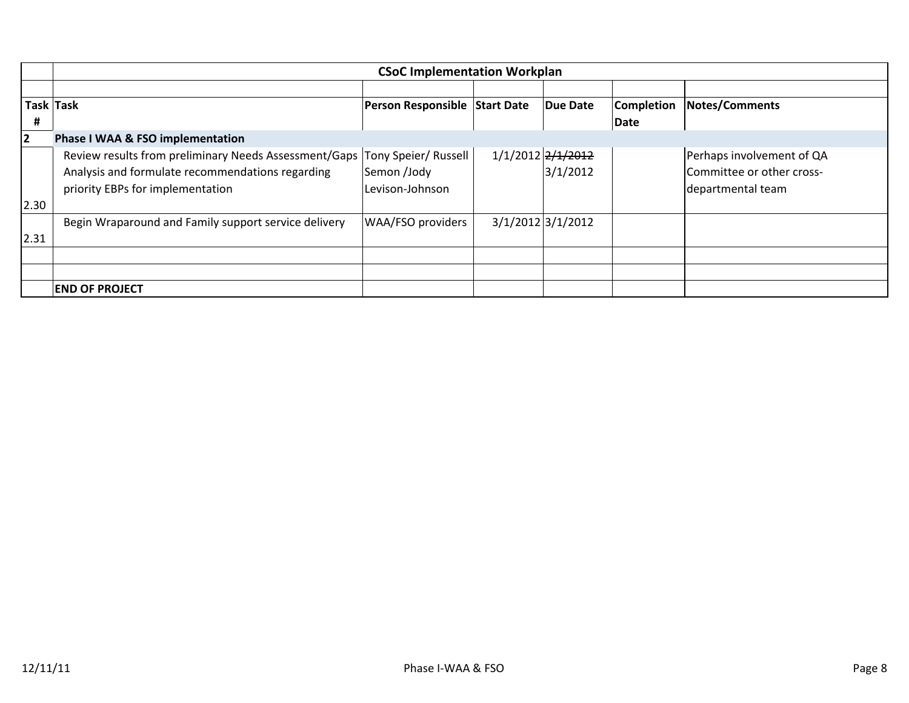|      | <b>CSoC Implementation Workplan</b>                   |                               |  |                     |                   |                           |  |  |
|------|-------------------------------------------------------|-------------------------------|--|---------------------|-------------------|---------------------------|--|--|
|      |                                                       |                               |  |                     |                   |                           |  |  |
|      | Task Task                                             | Person Responsible Start Date |  | Due Date            | <b>Completion</b> | <b>Notes/Comments</b>     |  |  |
| #    |                                                       |                               |  |                     | Date              |                           |  |  |
| 2    | <b>Phase I WAA &amp; FSO implementation</b>           |                               |  |                     |                   |                           |  |  |
|      | Review results from preliminary Needs Assessment/Gaps | Tony Speier/ Russell          |  | 1/1/2012 2/1/2012   |                   | Perhaps involvement of QA |  |  |
|      | Analysis and formulate recommendations regarding      | Semon /Jody                   |  | 3/1/2012            |                   | Committee or other cross- |  |  |
|      | priority EBPs for implementation                      | Levison-Johnson               |  |                     |                   | departmental team         |  |  |
| 2.30 |                                                       |                               |  |                     |                   |                           |  |  |
|      | Begin Wraparound and Family support service delivery  | WAA/FSO providers             |  | $3/1/2012$ 3/1/2012 |                   |                           |  |  |
| 2.31 |                                                       |                               |  |                     |                   |                           |  |  |
|      |                                                       |                               |  |                     |                   |                           |  |  |
|      |                                                       |                               |  |                     |                   |                           |  |  |
|      | <b>END OF PROJECT</b>                                 |                               |  |                     |                   |                           |  |  |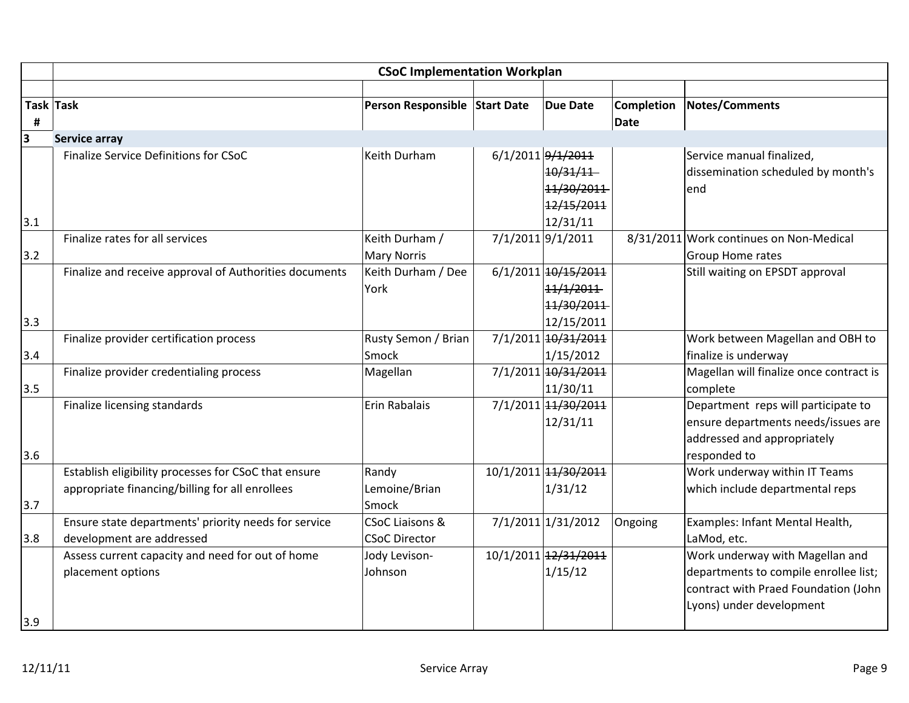|                       | <b>CSoC Implementation Workplan</b>                    |                               |  |                                                                       |                           |                                                                                                                           |  |
|-----------------------|--------------------------------------------------------|-------------------------------|--|-----------------------------------------------------------------------|---------------------------|---------------------------------------------------------------------------------------------------------------------------|--|
| <b>Task Task</b><br># |                                                        | Person Responsible Start Date |  | <b>Due Date</b>                                                       | <b>Completion</b><br>Date | <b>Notes/Comments</b>                                                                                                     |  |
| 3                     | Service array                                          |                               |  |                                                                       |                           |                                                                                                                           |  |
| 3.1                   | Finalize Service Definitions for CSoC                  | Keith Durham                  |  | 6/1/2011 9/1/2011<br>10/31/11<br>11/30/2011<br>12/15/2011<br>12/31/11 |                           | Service manual finalized,<br>dissemination scheduled by month's<br>end                                                    |  |
|                       | Finalize rates for all services                        | Keith Durham /                |  | 7/1/2011 9/1/2011                                                     |                           | 8/31/2011 Work continues on Non-Medical                                                                                   |  |
| 3.2                   |                                                        | <b>Mary Norris</b>            |  |                                                                       |                           | Group Home rates                                                                                                          |  |
| 3.3                   | Finalize and receive approval of Authorities documents | Keith Durham / Dee<br>York    |  | 6/1/2011 10/15/2011<br>11/1/2011<br>11/30/2011<br>12/15/2011          |                           | Still waiting on EPSDT approval                                                                                           |  |
|                       | Finalize provider certification process                | Rusty Semon / Brian           |  | 7/1/2011 10/31/2011                                                   |                           | Work between Magellan and OBH to                                                                                          |  |
| 3.4                   |                                                        | Smock                         |  | 1/15/2012                                                             |                           | finalize is underway                                                                                                      |  |
| 3.5                   | Finalize provider credentialing process                | Magellan                      |  | 7/1/2011 10/31/2011<br>11/30/11                                       |                           | Magellan will finalize once contract is<br>complete                                                                       |  |
| 3.6                   | Finalize licensing standards                           | Erin Rabalais                 |  | 7/1/2011 14/30/2011<br>12/31/11                                       |                           | Department reps will participate to<br>ensure departments needs/issues are<br>addressed and appropriately<br>responded to |  |
|                       | Establish eligibility processes for CSoC that ensure   | Randy                         |  | 10/1/2011 14/30/2011                                                  |                           | Work underway within IT Teams                                                                                             |  |
| 3.7                   | appropriate financing/billing for all enrollees        | Lemoine/Brian<br>Smock        |  | 1/31/12                                                               |                           | which include departmental reps                                                                                           |  |
|                       | Ensure state departments' priority needs for service   | <b>CSoC Liaisons &amp;</b>    |  | 7/1/2011 1/31/2012                                                    | Ongoing                   | Examples: Infant Mental Health,                                                                                           |  |
| 3.8                   | development are addressed                              | <b>CSoC Director</b>          |  |                                                                       |                           | LaMod, etc.                                                                                                               |  |
|                       | Assess current capacity and need for out of home       | Jody Levison-                 |  | 10/1/2011 12/31/2011                                                  |                           | Work underway with Magellan and                                                                                           |  |
| 3.9                   | placement options                                      | Johnson                       |  | 1/15/12                                                               |                           | departments to compile enrollee list;<br>contract with Praed Foundation (John<br>Lyons) under development                 |  |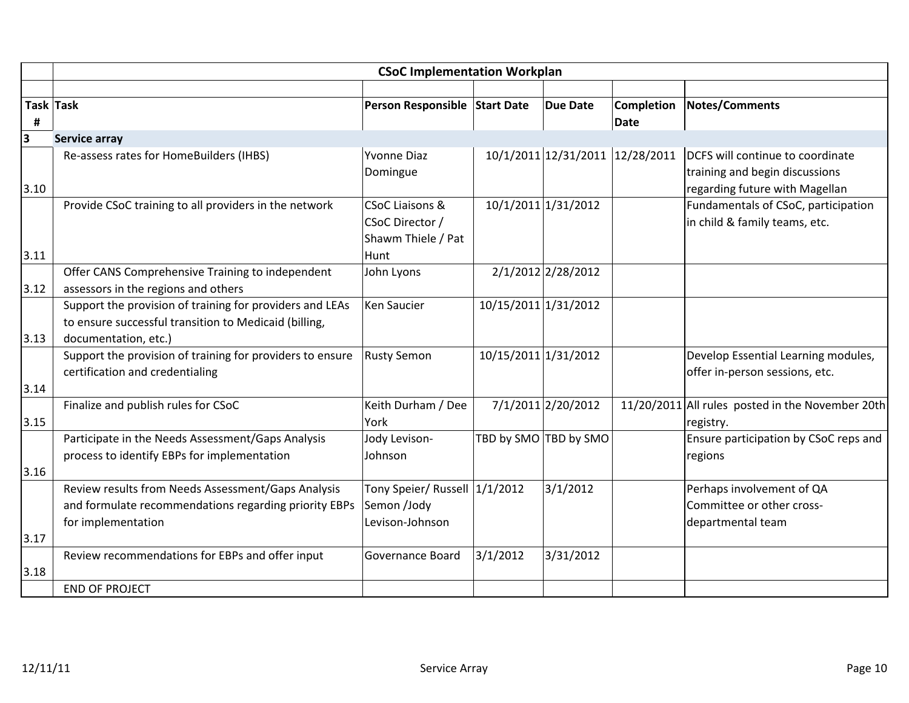|      | <b>CSoC Implementation Workplan</b>                       |                               |                      |                       |                                 |                                                  |  |  |
|------|-----------------------------------------------------------|-------------------------------|----------------------|-----------------------|---------------------------------|--------------------------------------------------|--|--|
|      |                                                           |                               |                      |                       |                                 |                                                  |  |  |
|      | Task Task                                                 | Person Responsible Start Date |                      | <b>Due Date</b>       | <b>Completion</b>               | <b>Notes/Comments</b>                            |  |  |
| Ħ,   |                                                           |                               |                      |                       | Date                            |                                                  |  |  |
| 3    | <b>Service array</b>                                      |                               |                      |                       |                                 |                                                  |  |  |
|      | Re-assess rates for HomeBuilders (IHBS)                   | <b>Yvonne Diaz</b>            |                      |                       | 10/1/2011 12/31/2011 12/28/2011 | DCFS will continue to coordinate                 |  |  |
|      |                                                           | Domingue                      |                      |                       |                                 | training and begin discussions                   |  |  |
| 3.10 |                                                           |                               |                      |                       |                                 | regarding future with Magellan                   |  |  |
|      | Provide CSoC training to all providers in the network     | <b>CSoC Liaisons &amp;</b>    |                      | 10/1/2011 1/31/2012   |                                 | Fundamentals of CSoC, participation              |  |  |
|      |                                                           | CSoC Director /               |                      |                       |                                 | in child & family teams, etc.                    |  |  |
|      |                                                           | Shawm Thiele / Pat            |                      |                       |                                 |                                                  |  |  |
| 3.11 |                                                           | Hunt                          |                      |                       |                                 |                                                  |  |  |
|      | Offer CANS Comprehensive Training to independent          | John Lyons                    |                      | 2/1/2012 2/28/2012    |                                 |                                                  |  |  |
| 3.12 | assessors in the regions and others                       |                               |                      |                       |                                 |                                                  |  |  |
|      | Support the provision of training for providers and LEAs  | Ken Saucier                   | 10/15/2011 1/31/2012 |                       |                                 |                                                  |  |  |
|      | to ensure successful transition to Medicaid (billing,     |                               |                      |                       |                                 |                                                  |  |  |
| 3.13 | documentation, etc.)                                      |                               |                      |                       |                                 |                                                  |  |  |
|      | Support the provision of training for providers to ensure | <b>Rusty Semon</b>            | 10/15/2011 1/31/2012 |                       |                                 | Develop Essential Learning modules,              |  |  |
|      | certification and credentialing                           |                               |                      |                       |                                 | offer in-person sessions, etc.                   |  |  |
| 3.14 |                                                           |                               |                      |                       |                                 |                                                  |  |  |
|      | Finalize and publish rules for CSoC                       | Keith Durham / Dee            |                      | 7/1/2011 2/20/2012    |                                 | 11/20/2011 All rules posted in the November 20th |  |  |
| 3.15 |                                                           | York                          |                      |                       |                                 | registry.                                        |  |  |
|      | Participate in the Needs Assessment/Gaps Analysis         | Jody Levison-                 |                      | TBD by SMO TBD by SMO |                                 | Ensure participation by CSoC reps and            |  |  |
|      | process to identify EBPs for implementation               | Johnson                       |                      |                       |                                 | regions                                          |  |  |
| 3.16 |                                                           |                               |                      |                       |                                 |                                                  |  |  |
|      | Review results from Needs Assessment/Gaps Analysis        | Tony Speier/ Russell 1/1/2012 |                      | 3/1/2012              |                                 | Perhaps involvement of QA                        |  |  |
|      | and formulate recommendations regarding priority EBPs     | Semon /Jody                   |                      |                       |                                 | Committee or other cross-                        |  |  |
|      | for implementation                                        | Levison-Johnson               |                      |                       |                                 | departmental team                                |  |  |
| 3.17 |                                                           |                               |                      |                       |                                 |                                                  |  |  |
|      | Review recommendations for EBPs and offer input           | Governance Board              | 3/1/2012             | 3/31/2012             |                                 |                                                  |  |  |
| 3.18 |                                                           |                               |                      |                       |                                 |                                                  |  |  |
|      | <b>END OF PROJECT</b>                                     |                               |                      |                       |                                 |                                                  |  |  |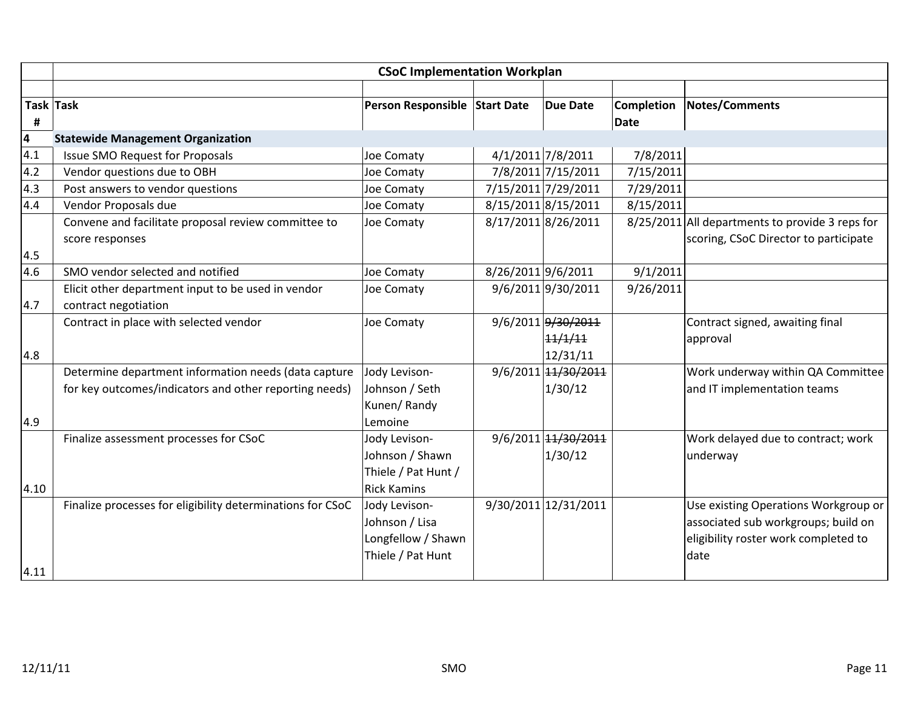|      | <b>CSoC Implementation Workplan</b>                        |                               |                    |                      |                   |                                                 |  |  |  |
|------|------------------------------------------------------------|-------------------------------|--------------------|----------------------|-------------------|-------------------------------------------------|--|--|--|
|      |                                                            |                               |                    |                      |                   |                                                 |  |  |  |
|      | Task Task                                                  | Person Responsible Start Date |                    | <b>Due Date</b>      | <b>Completion</b> | <b>Notes/Comments</b>                           |  |  |  |
| #    |                                                            |                               |                    |                      | <b>Date</b>       |                                                 |  |  |  |
| 4    | <b>Statewide Management Organization</b>                   |                               |                    |                      |                   |                                                 |  |  |  |
| 4.1  | <b>Issue SMO Request for Proposals</b>                     | Joe Comaty                    |                    | 4/1/2011 7/8/2011    | 7/8/2011          |                                                 |  |  |  |
| 4.2  | Vendor questions due to OBH                                | Joe Comaty                    |                    | 7/8/2011 7/15/2011   | 7/15/2011         |                                                 |  |  |  |
| 4.3  | Post answers to vendor questions                           | Joe Comaty                    |                    | 7/15/2011 7/29/2011  | 7/29/2011         |                                                 |  |  |  |
| 4.4  | Vendor Proposals due                                       | Joe Comaty                    |                    | 8/15/2011 8/15/2011  | 8/15/2011         |                                                 |  |  |  |
|      | Convene and facilitate proposal review committee to        | Joe Comaty                    |                    | 8/17/2011 8/26/2011  |                   | 8/25/2011 All departments to provide 3 reps for |  |  |  |
|      | score responses                                            |                               |                    |                      |                   | scoring, CSoC Director to participate           |  |  |  |
| 4.5  |                                                            |                               |                    |                      |                   |                                                 |  |  |  |
| 4.6  | SMO vendor selected and notified                           | Joe Comaty                    | 8/26/2011 9/6/2011 |                      | 9/1/2011          |                                                 |  |  |  |
|      | Elicit other department input to be used in vendor         | Joe Comaty                    |                    | 9/6/2011 9/30/2011   | 9/26/2011         |                                                 |  |  |  |
| 4.7  | contract negotiation                                       |                               |                    |                      |                   |                                                 |  |  |  |
|      | Contract in place with selected vendor                     | Joe Comaty                    |                    | 9/6/2011 9/30/2011   |                   | Contract signed, awaiting final                 |  |  |  |
|      |                                                            |                               |                    | 11/1/11              |                   | approval                                        |  |  |  |
| 4.8  |                                                            |                               |                    | 12/31/11             |                   |                                                 |  |  |  |
|      | Determine department information needs (data capture       | Jody Levison-                 |                    | 9/6/2011 14/30/2011  |                   | Work underway within QA Committee               |  |  |  |
|      | for key outcomes/indicators and other reporting needs)     | Johnson / Seth                |                    | 1/30/12              |                   | and IT implementation teams                     |  |  |  |
|      |                                                            | Kunen/Randy                   |                    |                      |                   |                                                 |  |  |  |
| 4.9  |                                                            | Lemoine                       |                    |                      |                   |                                                 |  |  |  |
|      | Finalize assessment processes for CSoC                     | Jody Levison-                 |                    | 9/6/2011 14/30/2011  |                   | Work delayed due to contract; work              |  |  |  |
|      |                                                            | Johnson / Shawn               |                    | 1/30/12              |                   | underway                                        |  |  |  |
|      |                                                            | Thiele / Pat Hunt /           |                    |                      |                   |                                                 |  |  |  |
| 4.10 |                                                            | <b>Rick Kamins</b>            |                    |                      |                   |                                                 |  |  |  |
|      | Finalize processes for eligibility determinations for CSoC | Jody Levison-                 |                    | 9/30/2011 12/31/2011 |                   | Use existing Operations Workgroup or            |  |  |  |
|      |                                                            | Johnson / Lisa                |                    |                      |                   | associated sub workgroups; build on             |  |  |  |
|      |                                                            | Longfellow / Shawn            |                    |                      |                   | eligibility roster work completed to            |  |  |  |
|      |                                                            | Thiele / Pat Hunt             |                    |                      |                   | date                                            |  |  |  |
| 4.11 |                                                            |                               |                    |                      |                   |                                                 |  |  |  |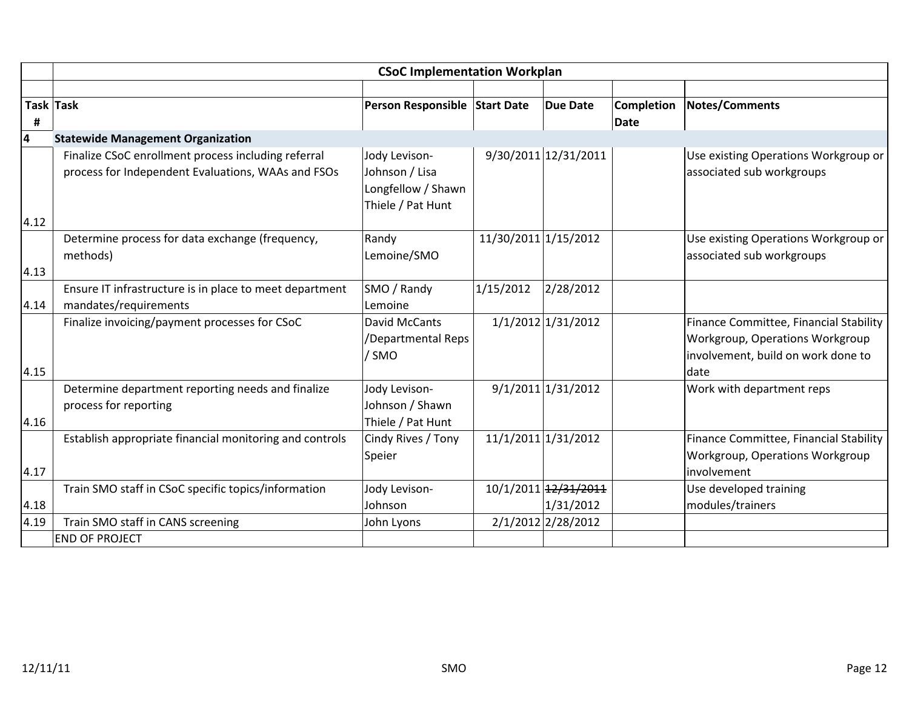|                | <b>CSoC Implementation Workplan</b>                                                                       |                                                                            |                      |                                   |                           |                                                                                                                         |  |  |
|----------------|-----------------------------------------------------------------------------------------------------------|----------------------------------------------------------------------------|----------------------|-----------------------------------|---------------------------|-------------------------------------------------------------------------------------------------------------------------|--|--|
|                |                                                                                                           |                                                                            |                      |                                   |                           |                                                                                                                         |  |  |
| Task Task<br>Ħ |                                                                                                           | Person Responsible Start Date                                              |                      | <b>Due Date</b>                   | <b>Completion</b><br>Date | Notes/Comments                                                                                                          |  |  |
| 4              | <b>Statewide Management Organization</b>                                                                  |                                                                            |                      |                                   |                           |                                                                                                                         |  |  |
|                | Finalize CSoC enrollment process including referral<br>process for Independent Evaluations, WAAs and FSOs | Jody Levison-<br>Johnson / Lisa<br>Longfellow / Shawn<br>Thiele / Pat Hunt |                      | 9/30/2011 12/31/2011              |                           | Use existing Operations Workgroup or<br>associated sub workgroups                                                       |  |  |
| 4.12           |                                                                                                           |                                                                            |                      |                                   |                           |                                                                                                                         |  |  |
| 4.13           | Determine process for data exchange (frequency,<br>methods)                                               | Randy<br>Lemoine/SMO                                                       | 11/30/2011 1/15/2012 |                                   |                           | Use existing Operations Workgroup or<br>associated sub workgroups                                                       |  |  |
|                | Ensure IT infrastructure is in place to meet department                                                   | SMO / Randy                                                                | 1/15/2012            | 2/28/2012                         |                           |                                                                                                                         |  |  |
| 4.14           | mandates/requirements                                                                                     | Lemoine                                                                    |                      |                                   |                           |                                                                                                                         |  |  |
| 4.15           | Finalize invoicing/payment processes for CSoC                                                             | <b>David McCants</b><br>/Departmental Reps<br>/ SMO                        |                      | 1/1/2012 1/31/2012                |                           | Finance Committee, Financial Stability<br>Workgroup, Operations Workgroup<br>involvement, build on work done to<br>date |  |  |
| 4.16           | Determine department reporting needs and finalize<br>process for reporting                                | Jody Levison-<br>Johnson / Shawn<br>Thiele / Pat Hunt                      |                      | 9/1/2011 1/31/2012                |                           | Work with department reps                                                                                               |  |  |
| 4.17           | Establish appropriate financial monitoring and controls                                                   | Cindy Rives / Tony<br>Speier                                               |                      | 11/1/2011 1/31/2012               |                           | Finance Committee, Financial Stability<br>Workgroup, Operations Workgroup<br>involvement                                |  |  |
| 4.18           | Train SMO staff in CSoC specific topics/information                                                       | Jody Levison-<br>Johnson                                                   |                      | 10/1/2011 12/31/2011<br>1/31/2012 |                           | Use developed training<br>modules/trainers                                                                              |  |  |
| 4.19           | Train SMO staff in CANS screening                                                                         | John Lyons                                                                 |                      | 2/1/2012 2/28/2012                |                           |                                                                                                                         |  |  |
|                | <b>END OF PROJECT</b>                                                                                     |                                                                            |                      |                                   |                           |                                                                                                                         |  |  |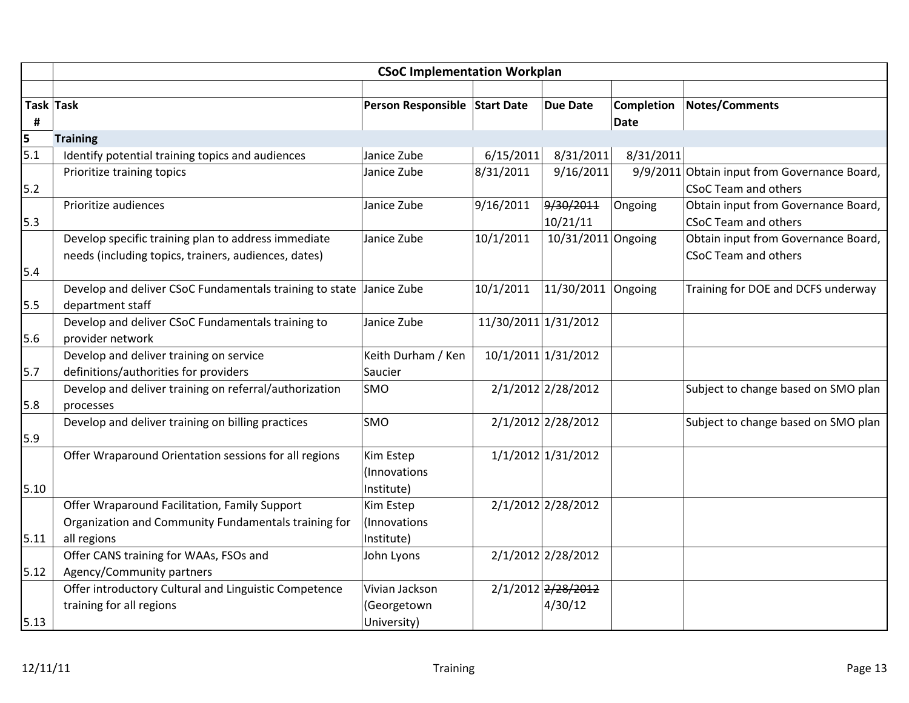|                  | <b>CSoC Implementation Workplan</b>                     |                               |                      |                      |                   |                                              |  |  |  |
|------------------|---------------------------------------------------------|-------------------------------|----------------------|----------------------|-------------------|----------------------------------------------|--|--|--|
|                  |                                                         |                               |                      |                      |                   |                                              |  |  |  |
|                  | Task Task                                               | Person Responsible Start Date |                      | <b>Due Date</b>      | <b>Completion</b> | <b>Notes/Comments</b>                        |  |  |  |
| #                |                                                         |                               |                      |                      | Date              |                                              |  |  |  |
| 5                | <b>Training</b>                                         |                               |                      |                      |                   |                                              |  |  |  |
| $\overline{5.1}$ | Identify potential training topics and audiences        | Janice Zube                   | 6/15/2011            | 8/31/2011            | 8/31/2011         |                                              |  |  |  |
|                  | Prioritize training topics                              | Janice Zube                   | 8/31/2011            | 9/16/2011            |                   | 9/9/2011 Obtain input from Governance Board, |  |  |  |
| 5.2              |                                                         |                               |                      |                      |                   | <b>CSoC Team and others</b>                  |  |  |  |
|                  | Prioritize audiences                                    | Janice Zube                   | 9/16/2011            | 9/30/2011            | Ongoing           | Obtain input from Governance Board,          |  |  |  |
| 5.3              |                                                         |                               |                      | 10/21/11             |                   | <b>CSoC Team and others</b>                  |  |  |  |
|                  | Develop specific training plan to address immediate     | Janice Zube                   | 10/1/2011            | $10/31/2011$ Ongoing |                   | Obtain input from Governance Board,          |  |  |  |
|                  | needs (including topics, trainers, audiences, dates)    |                               |                      |                      |                   | <b>CSoC Team and others</b>                  |  |  |  |
| 5.4              |                                                         |                               |                      |                      |                   |                                              |  |  |  |
|                  | Develop and deliver CSoC Fundamentals training to state | Janice Zube                   | 10/1/2011            | 11/30/2011 Ongoing   |                   | Training for DOE and DCFS underway           |  |  |  |
| 5.5              | department staff                                        |                               |                      |                      |                   |                                              |  |  |  |
|                  | Develop and deliver CSoC Fundamentals training to       | Janice Zube                   | 11/30/2011 1/31/2012 |                      |                   |                                              |  |  |  |
| 5.6              | provider network                                        |                               |                      |                      |                   |                                              |  |  |  |
|                  | Develop and deliver training on service                 | Keith Durham / Ken            |                      | 10/1/2011 1/31/2012  |                   |                                              |  |  |  |
| 5.7              | definitions/authorities for providers                   | Saucier                       |                      |                      |                   |                                              |  |  |  |
|                  | Develop and deliver training on referral/authorization  | SMO                           |                      | 2/1/2012 2/28/2012   |                   | Subject to change based on SMO plan          |  |  |  |
| 5.8              | processes                                               |                               |                      |                      |                   |                                              |  |  |  |
|                  | Develop and deliver training on billing practices       | SMO                           |                      | 2/1/2012 2/28/2012   |                   | Subject to change based on SMO plan          |  |  |  |
| 5.9              |                                                         |                               |                      |                      |                   |                                              |  |  |  |
|                  | Offer Wraparound Orientation sessions for all regions   | Kim Estep                     |                      | 1/1/2012 1/31/2012   |                   |                                              |  |  |  |
|                  |                                                         | (Innovations                  |                      |                      |                   |                                              |  |  |  |
| 5.10             |                                                         | Institute)                    |                      |                      |                   |                                              |  |  |  |
|                  | Offer Wraparound Facilitation, Family Support           | Kim Estep                     |                      | 2/1/2012 2/28/2012   |                   |                                              |  |  |  |
|                  | Organization and Community Fundamentals training for    | (Innovations                  |                      |                      |                   |                                              |  |  |  |
| 5.11             | all regions                                             | Institute)                    |                      |                      |                   |                                              |  |  |  |
|                  | Offer CANS training for WAAs, FSOs and                  | John Lyons                    |                      | 2/1/2012 2/28/2012   |                   |                                              |  |  |  |
| 5.12             | Agency/Community partners                               |                               |                      |                      |                   |                                              |  |  |  |
|                  | Offer introductory Cultural and Linguistic Competence   | Vivian Jackson                |                      | 2/1/2012 2/28/2012   |                   |                                              |  |  |  |
|                  | training for all regions                                | (Georgetown                   |                      | 4/30/12              |                   |                                              |  |  |  |
| 5.13             |                                                         | University)                   |                      |                      |                   |                                              |  |  |  |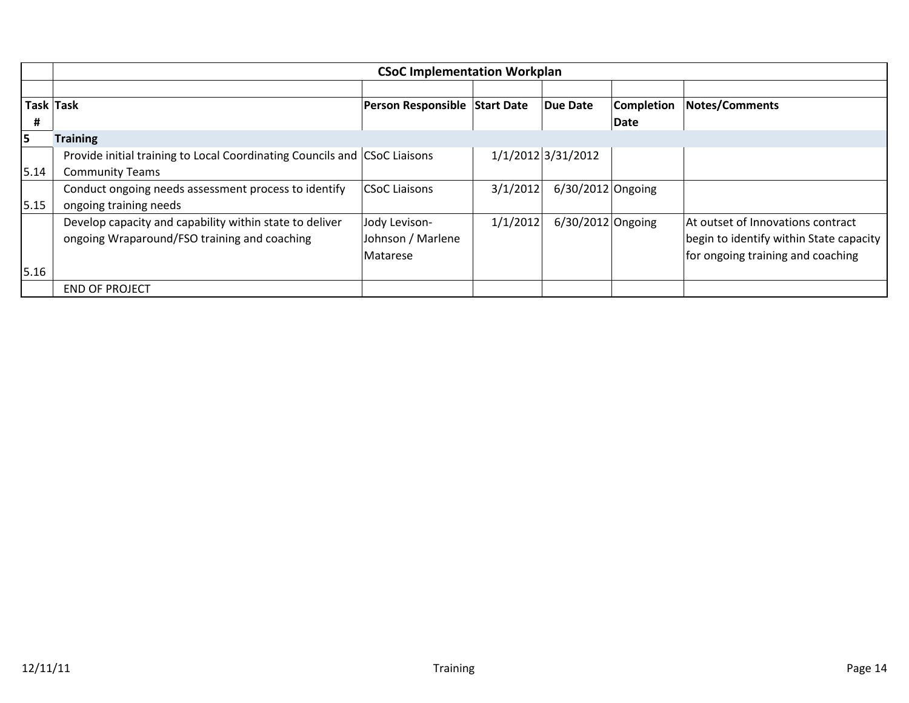|      | <b>CSoC Implementation Workplan</b>                                       |                               |          |                     |                   |                                         |  |  |
|------|---------------------------------------------------------------------------|-------------------------------|----------|---------------------|-------------------|-----------------------------------------|--|--|
|      |                                                                           |                               |          |                     |                   |                                         |  |  |
|      | Task Task                                                                 | Person Responsible Start Date |          | Due Date            | <b>Completion</b> | <b>Notes/Comments</b>                   |  |  |
| #    |                                                                           |                               |          |                     | Date              |                                         |  |  |
| 15   | <b>Training</b>                                                           |                               |          |                     |                   |                                         |  |  |
|      | Provide initial training to Local Coordinating Councils and CSoC Liaisons |                               |          | 1/1/2012 3/31/2012  |                   |                                         |  |  |
| 5.14 | <b>Community Teams</b>                                                    |                               |          |                     |                   |                                         |  |  |
|      | Conduct ongoing needs assessment process to identify                      | CSoC Liaisons                 | 3/1/2012 | $6/30/2012$ Ongoing |                   |                                         |  |  |
| 5.15 | ongoing training needs                                                    |                               |          |                     |                   |                                         |  |  |
|      | Develop capacity and capability within state to deliver                   | Jody Levison-                 | 1/1/2012 | $6/30/2012$ Ongoing |                   | At outset of Innovations contract       |  |  |
|      | ongoing Wraparound/FSO training and coaching                              | Johnson / Marlene             |          |                     |                   | begin to identify within State capacity |  |  |
|      |                                                                           | Matarese                      |          |                     |                   | for ongoing training and coaching       |  |  |
| 5.16 |                                                                           |                               |          |                     |                   |                                         |  |  |
|      | <b>END OF PROJECT</b>                                                     |                               |          |                     |                   |                                         |  |  |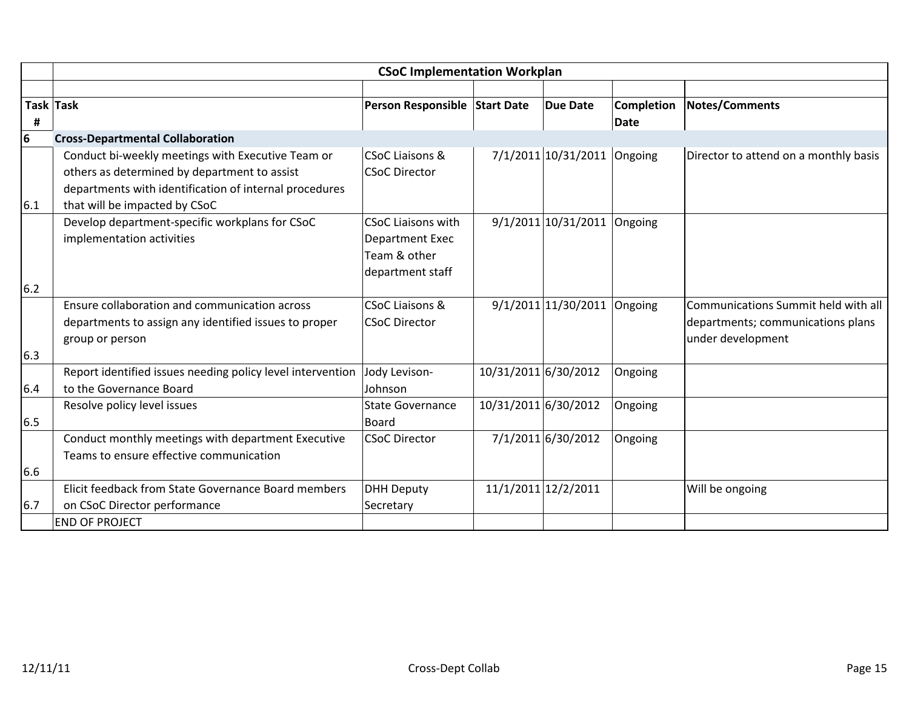|     | <b>CSoC Implementation Workplan</b>                                                                                                                                                          |                                                                                  |                      |                             |                           |                                                                                               |  |  |
|-----|----------------------------------------------------------------------------------------------------------------------------------------------------------------------------------------------|----------------------------------------------------------------------------------|----------------------|-----------------------------|---------------------------|-----------------------------------------------------------------------------------------------|--|--|
|     |                                                                                                                                                                                              |                                                                                  |                      |                             |                           |                                                                                               |  |  |
| #   | Task Task                                                                                                                                                                                    | Person Responsible Start Date                                                    |                      | <b>Due Date</b>             | Completion<br><b>Date</b> | <b>Notes/Comments</b>                                                                         |  |  |
| 6   | <b>Cross-Departmental Collaboration</b>                                                                                                                                                      |                                                                                  |                      |                             |                           |                                                                                               |  |  |
| 6.1 | Conduct bi-weekly meetings with Executive Team or<br>others as determined by department to assist<br>departments with identification of internal procedures<br>that will be impacted by CSoC | <b>CSoC Liaisons &amp;</b><br><b>CSoC Director</b>                               |                      | 7/1/2011 10/31/2011 Ongoing |                           | Director to attend on a monthly basis                                                         |  |  |
|     | Develop department-specific workplans for CSoC<br>implementation activities                                                                                                                  | <b>CSoC Liaisons with</b><br>Department Exec<br>Team & other<br>department staff |                      | 9/1/2011 10/31/2011         | Ongoing                   |                                                                                               |  |  |
| 6.2 |                                                                                                                                                                                              |                                                                                  |                      |                             |                           |                                                                                               |  |  |
|     | Ensure collaboration and communication across<br>departments to assign any identified issues to proper<br>group or person                                                                    | <b>CSoC Liaisons &amp;</b><br><b>CSoC Director</b>                               |                      | 9/1/2011 11/30/2011 Ongoing |                           | Communications Summit held with all<br>departments; communications plans<br>under development |  |  |
| 6.3 |                                                                                                                                                                                              |                                                                                  |                      |                             |                           |                                                                                               |  |  |
| 6.4 | Report identified issues needing policy level intervention<br>to the Governance Board                                                                                                        | Jody Levison-<br>Johnson                                                         | 10/31/2011 6/30/2012 |                             | Ongoing                   |                                                                                               |  |  |
| 6.5 | Resolve policy level issues                                                                                                                                                                  | <b>State Governance</b><br>Board                                                 | 10/31/2011 6/30/2012 |                             | Ongoing                   |                                                                                               |  |  |
|     | Conduct monthly meetings with department Executive<br>Teams to ensure effective communication                                                                                                | <b>CSoC Director</b>                                                             |                      | 7/1/2011 6/30/2012          | Ongoing                   |                                                                                               |  |  |
| 6.6 |                                                                                                                                                                                              |                                                                                  |                      |                             |                           |                                                                                               |  |  |
|     | Elicit feedback from State Governance Board members                                                                                                                                          | <b>DHH Deputy</b>                                                                |                      | 11/1/2011 12/2/2011         |                           | Will be ongoing                                                                               |  |  |
| 6.7 | on CSoC Director performance                                                                                                                                                                 | Secretary                                                                        |                      |                             |                           |                                                                                               |  |  |
|     | <b>END OF PROJECT</b>                                                                                                                                                                        |                                                                                  |                      |                             |                           |                                                                                               |  |  |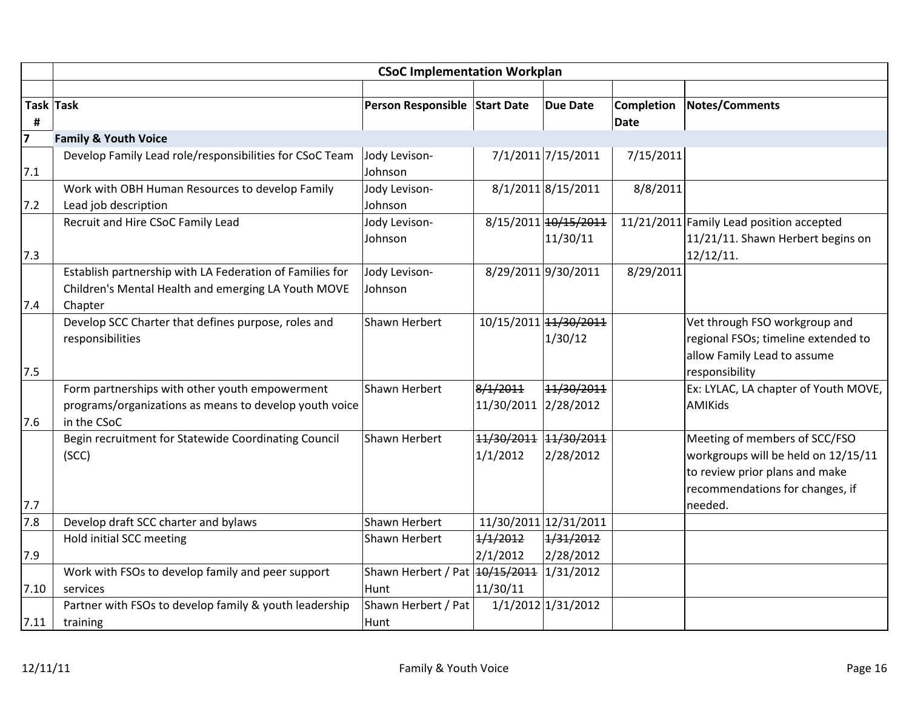|                | <b>CSoC Implementation Workplan</b>                      |                                          |                       |                       |                   |                                          |  |  |  |
|----------------|----------------------------------------------------------|------------------------------------------|-----------------------|-----------------------|-------------------|------------------------------------------|--|--|--|
|                |                                                          |                                          |                       |                       |                   |                                          |  |  |  |
|                | Task Task                                                | Person Responsible Start Date            |                       | <b>Due Date</b>       | <b>Completion</b> | Notes/Comments                           |  |  |  |
| #              |                                                          |                                          |                       |                       | Date              |                                          |  |  |  |
| $\overline{7}$ | <b>Family &amp; Youth Voice</b>                          |                                          |                       |                       |                   |                                          |  |  |  |
|                | Develop Family Lead role/responsibilities for CSoC Team  | Jody Levison-                            |                       | 7/1/2011 7/15/2011    | 7/15/2011         |                                          |  |  |  |
| 7.1            |                                                          | Johnson                                  |                       |                       |                   |                                          |  |  |  |
|                | Work with OBH Human Resources to develop Family          | Jody Levison-                            |                       | 8/1/2011 8/15/2011    | 8/8/2011          |                                          |  |  |  |
| 7.2            | Lead job description                                     | Johnson                                  |                       |                       |                   |                                          |  |  |  |
|                | Recruit and Hire CSoC Family Lead                        | Jody Levison-                            |                       | 8/15/2011 10/15/2011  |                   | 11/21/2011 Family Lead position accepted |  |  |  |
|                |                                                          | Johnson                                  |                       | 11/30/11              |                   | 11/21/11. Shawn Herbert begins on        |  |  |  |
| 7.3            |                                                          |                                          |                       |                       |                   | 12/12/11.                                |  |  |  |
|                | Establish partnership with LA Federation of Families for | Jody Levison-                            |                       | 8/29/2011 9/30/2011   | 8/29/2011         |                                          |  |  |  |
|                | Children's Mental Health and emerging LA Youth MOVE      | Johnson                                  |                       |                       |                   |                                          |  |  |  |
| 7.4            | Chapter                                                  |                                          |                       |                       |                   |                                          |  |  |  |
|                | Develop SCC Charter that defines purpose, roles and      | Shawn Herbert                            |                       | 10/15/2011 14/30/2011 |                   | Vet through FSO workgroup and            |  |  |  |
|                | responsibilities                                         |                                          |                       | 1/30/12               |                   | regional FSOs; timeline extended to      |  |  |  |
|                |                                                          |                                          |                       |                       |                   | allow Family Lead to assume              |  |  |  |
| 7.5            |                                                          |                                          |                       |                       |                   | responsibility                           |  |  |  |
|                | Form partnerships with other youth empowerment           | Shawn Herbert                            | 8/1/2011              | 11/30/2011            |                   | Ex: LYLAC, LA chapter of Youth MOVE,     |  |  |  |
|                | programs/organizations as means to develop youth voice   |                                          | 11/30/2011 2/28/2012  |                       |                   | <b>AMIKids</b>                           |  |  |  |
| 7.6            | in the CSoC                                              |                                          |                       |                       |                   |                                          |  |  |  |
|                | Begin recruitment for Statewide Coordinating Council     | Shawn Herbert                            | 11/30/2011 11/30/2011 |                       |                   | Meeting of members of SCC/FSO            |  |  |  |
|                | (SCC)                                                    |                                          | 1/1/2012              | 2/28/2012             |                   | workgroups will be held on 12/15/11      |  |  |  |
|                |                                                          |                                          |                       |                       |                   | to review prior plans and make           |  |  |  |
|                |                                                          |                                          |                       |                       |                   | recommendations for changes, if          |  |  |  |
| 7.7            |                                                          |                                          |                       |                       |                   | needed.                                  |  |  |  |
| 7.8            | Develop draft SCC charter and bylaws                     | Shawn Herbert                            |                       | 11/30/2011 12/31/2011 |                   |                                          |  |  |  |
|                | Hold initial SCC meeting                                 | Shawn Herbert                            | 1/1/2012              | 1/31/2012             |                   |                                          |  |  |  |
| 7.9            |                                                          |                                          | 2/1/2012              | 2/28/2012             |                   |                                          |  |  |  |
|                | Work with FSOs to develop family and peer support        | Shawn Herbert / Pat 40/15/2011 1/31/2012 |                       |                       |                   |                                          |  |  |  |
| 7.10           | services                                                 | Hunt                                     | 11/30/11              |                       |                   |                                          |  |  |  |
|                | Partner with FSOs to develop family & youth leadership   | Shawn Herbert / Pat                      |                       | 1/1/2012 1/31/2012    |                   |                                          |  |  |  |
| 7.11           | training                                                 | Hunt                                     |                       |                       |                   |                                          |  |  |  |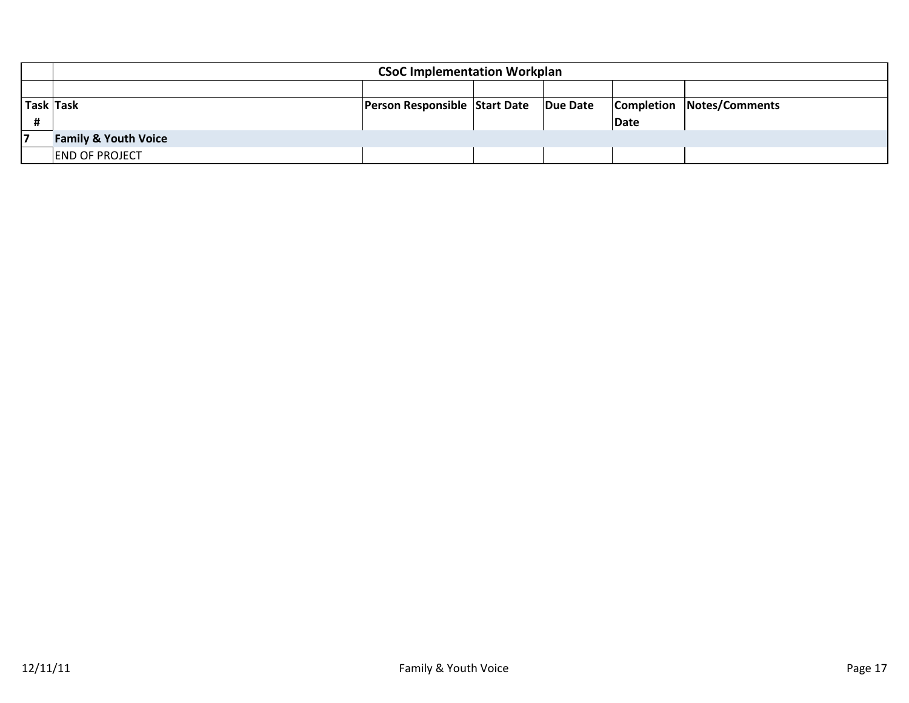|           | <b>CSoC Implementation Workplan</b> |                               |  |          |      |                                  |  |  |
|-----------|-------------------------------------|-------------------------------|--|----------|------|----------------------------------|--|--|
|           |                                     |                               |  |          |      |                                  |  |  |
| Task Task |                                     | Person Responsible Start Date |  | Due Date |      | <b>Completion Notes/Comments</b> |  |  |
|           |                                     |                               |  |          | Date |                                  |  |  |
|           | <b>Family &amp; Youth Voice</b>     |                               |  |          |      |                                  |  |  |
|           | <b>END OF PROJECT</b>               |                               |  |          |      |                                  |  |  |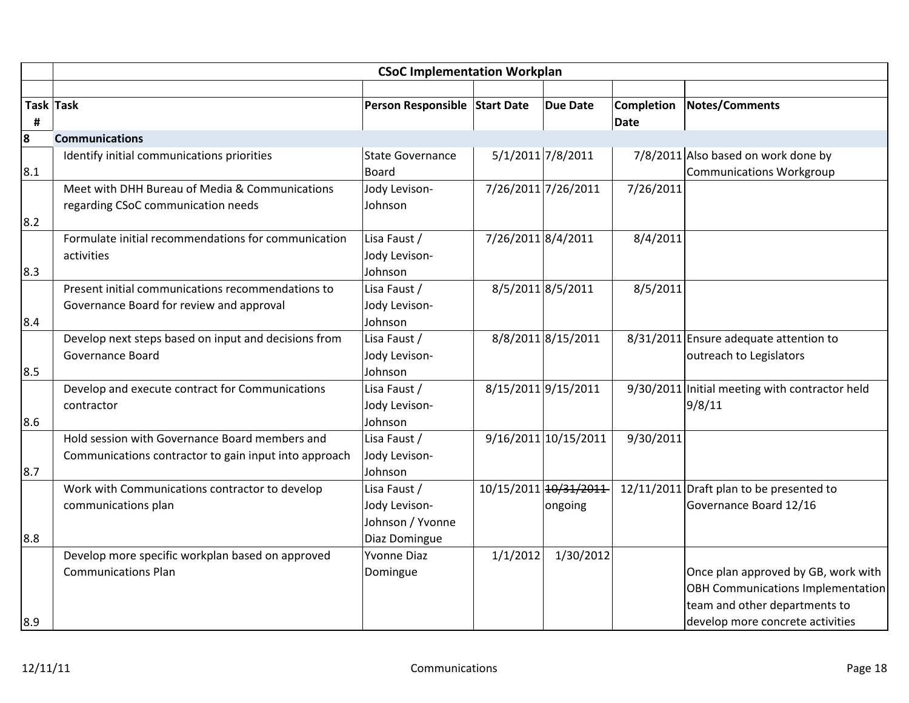|                       | <b>CSoC Implementation Workplan</b>                                                                     |                                                                    |                    |                                  |                           |                                                                                                                                                      |  |  |
|-----------------------|---------------------------------------------------------------------------------------------------------|--------------------------------------------------------------------|--------------------|----------------------------------|---------------------------|------------------------------------------------------------------------------------------------------------------------------------------------------|--|--|
| <b>Task Task</b><br># |                                                                                                         | Person Responsible Start Date                                      |                    | <b>Due Date</b>                  | <b>Completion</b><br>Date | <b>Notes/Comments</b>                                                                                                                                |  |  |
| 8                     | <b>Communications</b>                                                                                   |                                                                    |                    |                                  |                           |                                                                                                                                                      |  |  |
| 8.1                   | Identify initial communications priorities                                                              | <b>State Governance</b><br><b>Board</b>                            |                    | 5/1/2011 7/8/2011                |                           | 7/8/2011 Also based on work done by<br><b>Communications Workgroup</b>                                                                               |  |  |
|                       | Meet with DHH Bureau of Media & Communications<br>regarding CSoC communication needs                    | Jody Levison-<br>Johnson                                           |                    | 7/26/2011 7/26/2011              | 7/26/2011                 |                                                                                                                                                      |  |  |
| 8.2<br>8.3            | Formulate initial recommendations for communication<br>activities                                       | Lisa Faust /<br>Jody Levison-<br>Johnson                           | 7/26/2011 8/4/2011 |                                  | 8/4/2011                  |                                                                                                                                                      |  |  |
| 8.4                   | Present initial communications recommendations to<br>Governance Board for review and approval           | Lisa Faust /<br>Jody Levison-<br>Johnson                           |                    | 8/5/2011 8/5/2011                | 8/5/2011                  |                                                                                                                                                      |  |  |
| 8.5                   | Develop next steps based on input and decisions from<br>Governance Board                                | Lisa Faust /<br>Jody Levison-<br>Johnson                           |                    | 8/8/2011 8/15/2011               |                           | 8/31/2011 Ensure adequate attention to<br>outreach to Legislators                                                                                    |  |  |
| 8.6                   | Develop and execute contract for Communications<br>contractor                                           | Lisa Faust /<br>Jody Levison-<br>Johnson                           |                    | 8/15/2011 9/15/2011              |                           | 9/30/2011 Initial meeting with contractor held<br>9/8/11                                                                                             |  |  |
| 8.7                   | Hold session with Governance Board members and<br>Communications contractor to gain input into approach | Lisa Faust /<br>Jody Levison-<br>Johnson                           |                    | $9/16/2011$ 10/15/2011           | 9/30/2011                 |                                                                                                                                                      |  |  |
| 8.8                   | Work with Communications contractor to develop<br>communications plan                                   | Lisa Faust /<br>Jody Levison-<br>Johnson / Yvonne<br>Diaz Domingue |                    | 10/15/2011 10/31/2011<br>ongoing |                           | 12/11/2011 Draft plan to be presented to<br>Governance Board 12/16                                                                                   |  |  |
| 8.9                   | Develop more specific workplan based on approved<br><b>Communications Plan</b>                          | <b>Yvonne Diaz</b><br>Domingue                                     | 1/1/2012           | 1/30/2012                        |                           | Once plan approved by GB, work with<br><b>OBH Communications Implementation</b><br>team and other departments to<br>develop more concrete activities |  |  |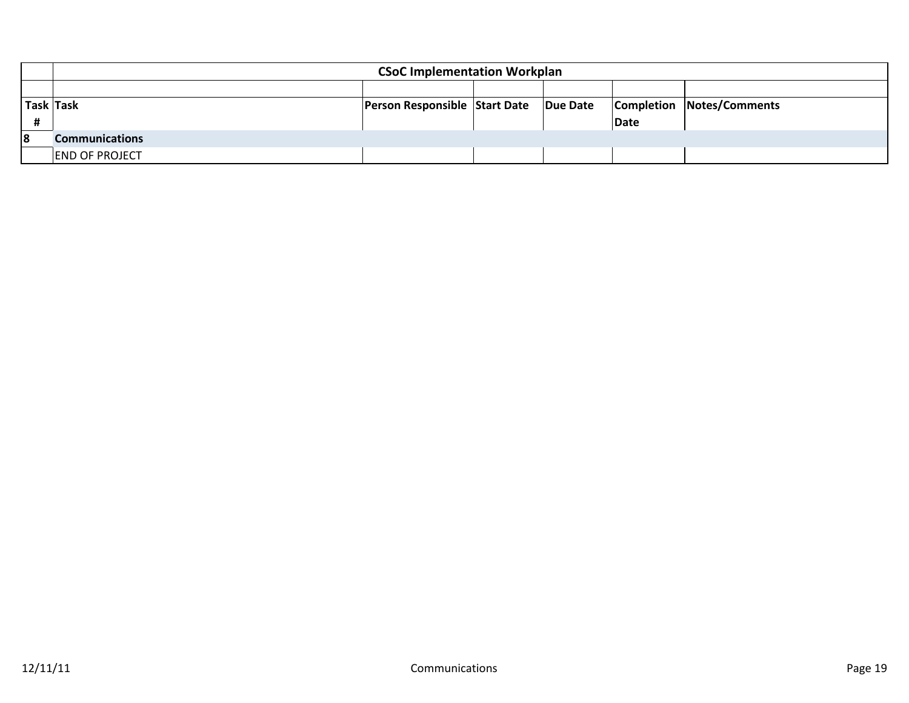|           | <b>CSoC Implementation Workplan</b> |                                      |  |          |      |                                  |  |  |
|-----------|-------------------------------------|--------------------------------------|--|----------|------|----------------------------------|--|--|
|           |                                     |                                      |  |          |      |                                  |  |  |
| Task Task |                                     | <b>Person Responsible Start Date</b> |  | Due Date |      | <b>Completion Notes/Comments</b> |  |  |
|           |                                     |                                      |  |          | Date |                                  |  |  |
| 18        | <b>Communications</b>               |                                      |  |          |      |                                  |  |  |
|           | <b>END OF PROJECT</b>               |                                      |  |          |      |                                  |  |  |